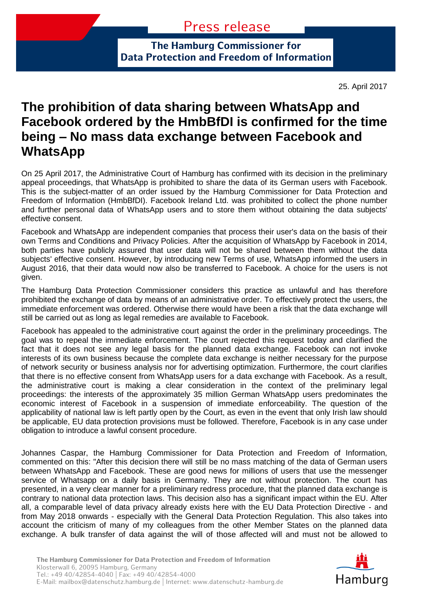**The Hamburg Commissioner for Data Protection and Freedom of Information**

25. April 2017

## **The prohibition of data sharing between WhatsApp and Facebook ordered by the HmbBfDI is confirmed for the time being – No mass data exchange between Facebook and WhatsApp**

On 25 April 2017, the Administrative Court of Hamburg has confirmed with its decision in the preliminary appeal proceedings, that WhatsApp is prohibited to share the data of its German users with Facebook. This is the subject-matter of an order issued by the Hamburg Commissioner for Data Protection and Freedom of Information (HmbBfDI). Facebook Ireland Ltd. was prohibited to collect the phone number and further personal data of WhatsApp users and to store them without obtaining the data subjects' effective consent.

Facebook and WhatsApp are independent companies that process their user's data on the basis of their own Terms and Conditions and Privacy Policies. After the acquisition of WhatsApp by Facebook in 2014, both parties have publicly assured that user data will not be shared between them without the data subjects' effective consent. However, by introducing new Terms of use, WhatsApp informed the users in August 2016, that their data would now also be transferred to Facebook. A choice for the users is not given.

The Hamburg Data Protection Commissioner considers this practice as unlawful and has therefore prohibited the exchange of data by means of an administrative order. To effectively protect the users, the immediate enforcement was ordered. Otherwise there would have been a risk that the data exchange will still be carried out as long as legal remedies are available to Facebook.

Facebook has appealed to the administrative court against the order in the preliminary proceedings. The goal was to repeal the immediate enforcement. The court rejected this request today and clarified the fact that it does not see any legal basis for the planned data exchange. Facebook can not invoke interests of its own business because the complete data exchange is neither necessary for the purpose of network security or business analysis nor for advertising optimization. Furthermore, the court clarifies that there is no effective consent from WhatsApp users for a data exchange with Facebook. As a result, the administrative court is making a clear consideration in the context of the preliminary legal proceedings: the interests of the approximately 35 million German WhatsApp users predominates the economic interest of Facebook in a suspension of immediate enforceability. The question of the applicability of national law is left partly open by the Court, as even in the event that only Irish law should be applicable, EU data protection provisions must be followed. Therefore, Facebook is in any case under obligation to introduce a lawful consent procedure.

Johannes Caspar, the Hamburg Commissioner for Data Protection and Freedom of Information, commented on this: "After this decision there will still be no mass matching of the data of German users between WhatsApp and Facebook. These are good news for millions of users that use the messenger service of Whatsapp on a daily basis in Germany. They are not without protection. The court has presented, in a very clear manner for a preliminary redress procedure, that the planned data exchange is contrary to national data protection laws. This decision also has a significant impact within the EU. After all, a comparable level of data privacy already exists here with the EU Data Protection Directive - and from May 2018 onwards - especially with the General Data Protection Regulation. This also takes into account the criticism of many of my colleagues from the other Member States on the planned data exchange. A bulk transfer of data against the will of those affected will and must not be allowed to